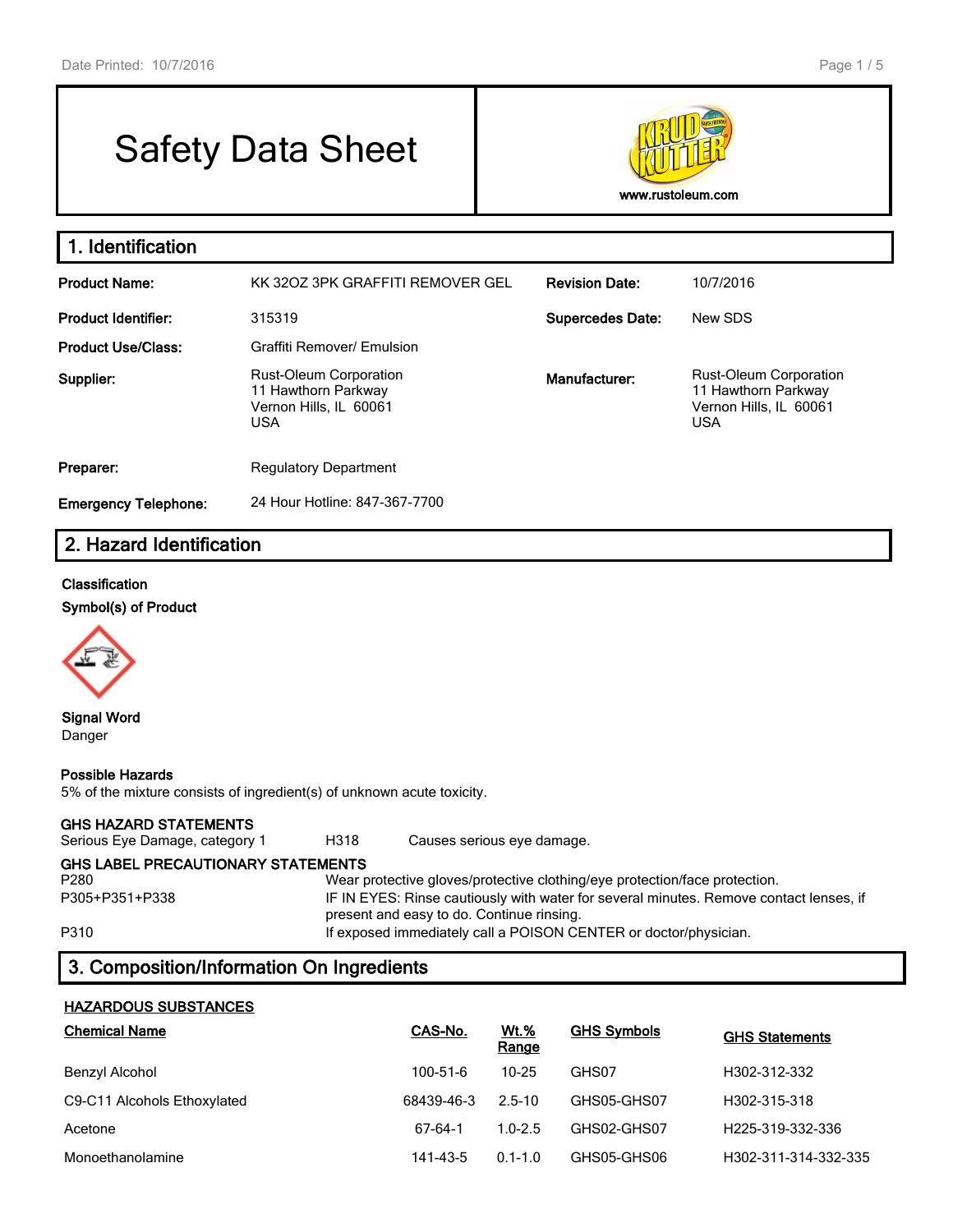# Safety Data Sheet



### **1. Identification Product Name:** KK 32OZ 3PK GRAFFITI REMOVER GEL **Revision Date:** 10/7/2016 **Product Identifier:** 315319 **Supercedes Date:** New SDS **Product Use/Class:** Graffiti Remover/ Emulsion **Supplier:** Rust-Oleum Corporation 11 Hawthorn Parkway Vernon Hills, IL 60061 USA **Manufacturer:** Rust-Oleum Corporation 11 Hawthorn Parkway Vernon Hills, IL 60061 USA **Preparer:** Regulatory Department **Emergency Telephone:** 24 Hour Hotline: 847-367-7700

# **2. Hazard Identification**

#### **Classification**

**Symbol(s) of Product**



**Signal Word** Danger

#### **Possible Hazards**

5% of the mixture consists of ingredient(s) of unknown acute toxicity.

#### **GHS HAZARD STATEMENTS**

Serious Eye Damage, category 1 H318 Causes serious eye damage.

### **GHS LABEL PRECAUTIONARY STATEMENTS**

P280 Wear protective gloves/protective clothing/eye protection/face protection. P305+P351+P338 IF IN EYES: Rinse cautiously with water for several minutes. Remove contact lenses, if present and easy to do. Continue rinsing. P310 **If exposed immediately call a POISON CENTER or doctor/physician.** 

# **3. Composition/Information On Ingredients**

### **HAZARDOUS SUBSTANCES**

| <b>Chemical Name</b>        | CAS-No.    | <b>Wt.%</b><br>Range | <b>GHS Symbols</b> | <b>GHS Statements</b>         |
|-----------------------------|------------|----------------------|--------------------|-------------------------------|
| Benzyl Alcohol              | 100-51-6   | $10 - 25$            | GHS07              | H302-312-332                  |
| C9-C11 Alcohols Ethoxylated | 68439-46-3 | $2.5 - 10$           | GHS05-GHS07        | H302-315-318                  |
| Acetone                     | 67-64-1    | $1.0 - 2.5$          | GHS02-GHS07        | H <sub>225</sub> -319-332-336 |
| Monoethanolamine            | 141-43-5   | $0.1 - 1.0$          | GHS05-GHS06        | H302-311-314-332-335          |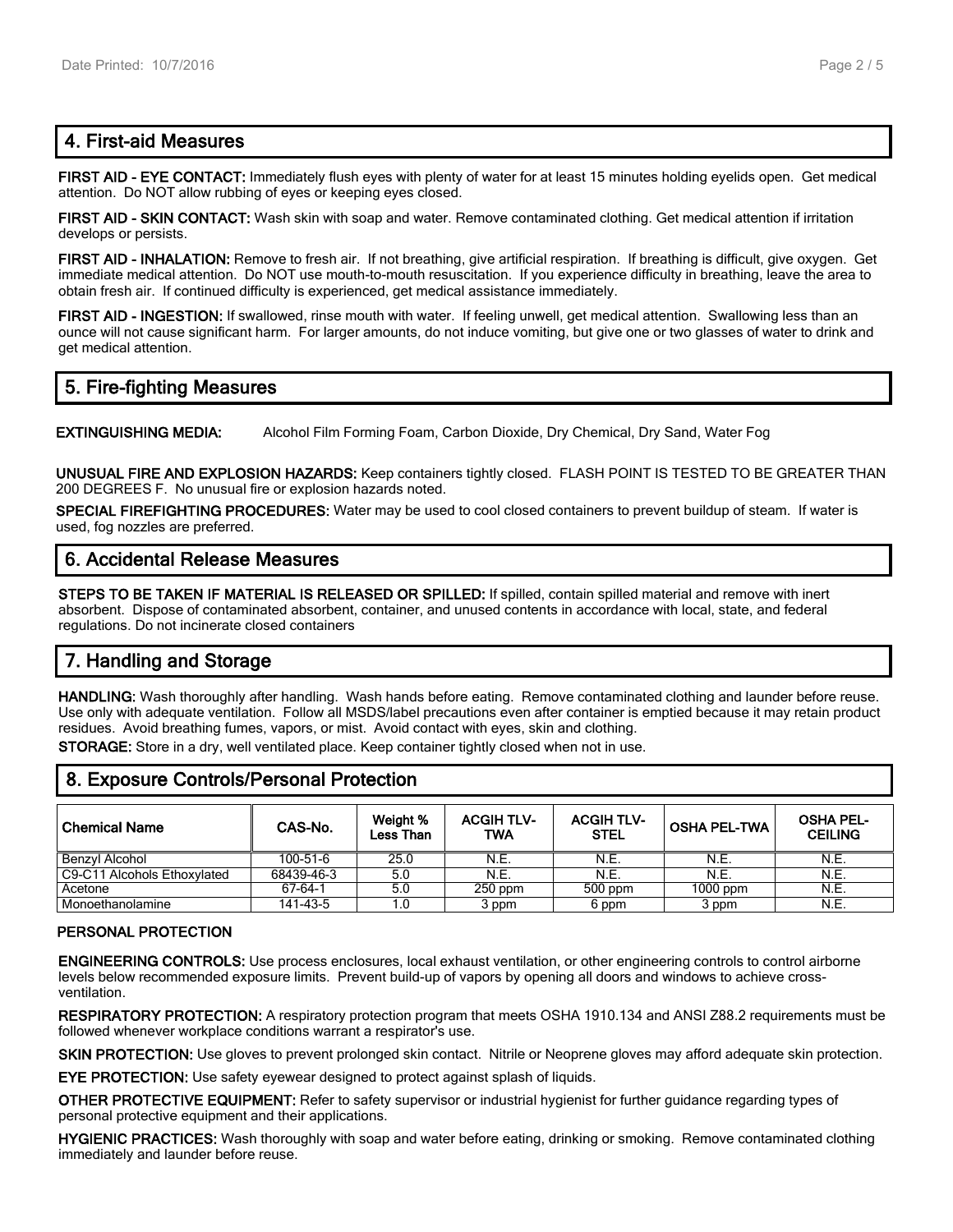# **4. First-aid Measures**

**FIRST AID - EYE CONTACT:** Immediately flush eyes with plenty of water for at least 15 minutes holding eyelids open. Get medical attention. Do NOT allow rubbing of eyes or keeping eyes closed.

**FIRST AID - SKIN CONTACT:** Wash skin with soap and water. Remove contaminated clothing. Get medical attention if irritation develops or persists.

**FIRST AID - INHALATION:** Remove to fresh air. If not breathing, give artificial respiration. If breathing is difficult, give oxygen. Get immediate medical attention. Do NOT use mouth-to-mouth resuscitation. If you experience difficulty in breathing, leave the area to obtain fresh air. If continued difficulty is experienced, get medical assistance immediately.

**FIRST AID - INGESTION:** If swallowed, rinse mouth with water. If feeling unwell, get medical attention. Swallowing less than an ounce will not cause significant harm. For larger amounts, do not induce vomiting, but give one or two glasses of water to drink and get medical attention.

# **5. Fire-fighting Measures**

**EXTINGUISHING MEDIA:** Alcohol Film Forming Foam, Carbon Dioxide, Dry Chemical, Dry Sand, Water Fog

**UNUSUAL FIRE AND EXPLOSION HAZARDS:** Keep containers tightly closed. FLASH POINT IS TESTED TO BE GREATER THAN 200 DEGREES F. No unusual fire or explosion hazards noted.

**SPECIAL FIREFIGHTING PROCEDURES:** Water may be used to cool closed containers to prevent buildup of steam. If water is used, fog nozzles are preferred.

### **6. Accidental Release Measures**

**STEPS TO BE TAKEN IF MATERIAL IS RELEASED OR SPILLED:** If spilled, contain spilled material and remove with inert absorbent. Dispose of contaminated absorbent, container, and unused contents in accordance with local, state, and federal regulations. Do not incinerate closed containers

# **7. Handling and Storage**

**HANDLING:** Wash thoroughly after handling. Wash hands before eating. Remove contaminated clothing and launder before reuse. Use only with adequate ventilation. Follow all MSDS/label precautions even after container is emptied because it may retain product residues. Avoid breathing fumes, vapors, or mist. Avoid contact with eyes, skin and clothing.

**STORAGE:** Store in a dry, well ventilated place. Keep container tightly closed when not in use.

### **8. Exposure Controls/Personal Protection**

| <b>Chemical Name</b>        | CAS-No.    | Weight %<br>Less Than | <b>ACGIH TLV-</b><br>TWA | <b>ACGIH TLV-</b><br><b>STEL</b> | <b>OSHA PEL-TWA</b> | <b>OSHA PEL-</b><br><b>CEILING</b> |
|-----------------------------|------------|-----------------------|--------------------------|----------------------------------|---------------------|------------------------------------|
| Benzvl Alcohol              | 100-51-6   | 25.0                  | N.E.                     | N.E.                             | N.E.                | N.E.                               |
| C9-C11 Alcohols Ethoxylated | 68439-46-3 | 5.0                   | N.E.                     | N.E.                             | N.E.                | N.E.                               |
| Acetone                     | 67-64-1    | 5.0                   | $250$ ppm                | 500 ppm                          | 1000 ppm            | N.E.                               |
| Monoethanolamine            | 141-43-5   | 1.0                   | 3 ppm                    | 6 ppm                            | 3 ppm               | N.E.                               |

#### **PERSONAL PROTECTION**

**ENGINEERING CONTROLS:** Use process enclosures, local exhaust ventilation, or other engineering controls to control airborne levels below recommended exposure limits. Prevent build-up of vapors by opening all doors and windows to achieve crossventilation.

**RESPIRATORY PROTECTION:** A respiratory protection program that meets OSHA 1910.134 and ANSI Z88.2 requirements must be followed whenever workplace conditions warrant a respirator's use.

**SKIN PROTECTION:** Use gloves to prevent prolonged skin contact. Nitrile or Neoprene gloves may afford adequate skin protection.

**EYE PROTECTION:** Use safety eyewear designed to protect against splash of liquids.

**OTHER PROTECTIVE EQUIPMENT:** Refer to safety supervisor or industrial hygienist for further guidance regarding types of personal protective equipment and their applications.

**HYGIENIC PRACTICES:** Wash thoroughly with soap and water before eating, drinking or smoking. Remove contaminated clothing immediately and launder before reuse.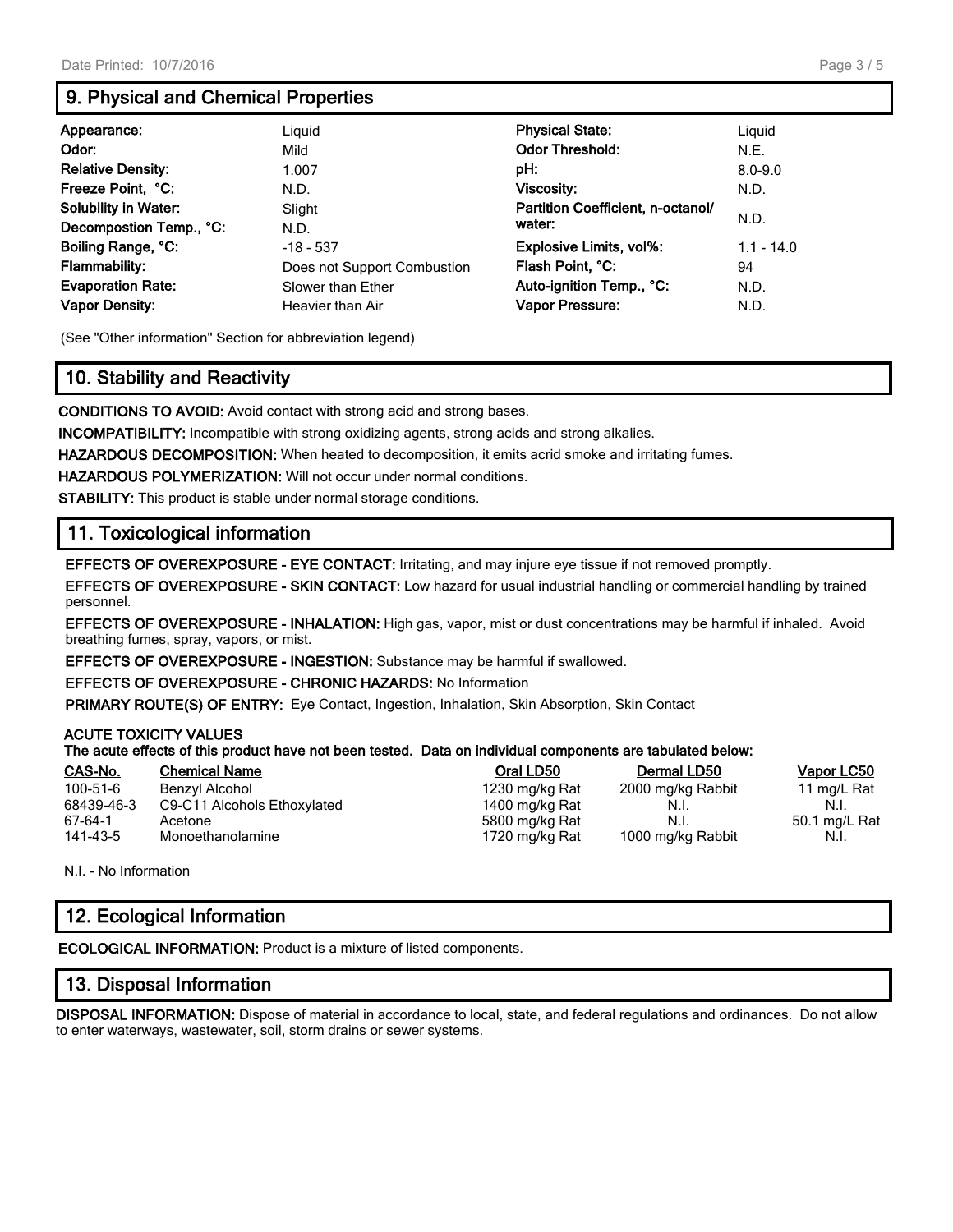# **9. Physical and Chemical Properties**

| Appearance:                 | Liguid                      | <b>Physical State:</b>            | Liguid       |
|-----------------------------|-----------------------------|-----------------------------------|--------------|
| Odor:                       | Mild                        | <b>Odor Threshold:</b>            | N.E.         |
| <b>Relative Density:</b>    | 1.007                       | pH:                               | $8.0 - 9.0$  |
| Freeze Point, °C:           | N.D.                        | <b>Viscosity:</b>                 | N.D.         |
| <b>Solubility in Water:</b> | Slight                      | Partition Coefficient, n-octanol/ | N.D.         |
| Decompostion Temp., °C:     | N.D.                        | water:                            |              |
| Boiling Range, °C:          | $-18 - 537$                 | <b>Explosive Limits, vol%:</b>    | $1.1 - 14.0$ |
| <b>Flammability:</b>        | Does not Support Combustion | Flash Point, °C:                  | 94           |
| <b>Evaporation Rate:</b>    | Slower than Ether           | Auto-ignition Temp., °C:          | N.D.         |
| <b>Vapor Density:</b>       | Heavier than Air            | Vapor Pressure:                   | N.D.         |

(See "Other information" Section for abbreviation legend)

# **10. Stability and Reactivity**

**CONDITIONS TO AVOID:** Avoid contact with strong acid and strong bases.

**INCOMPATIBILITY:** Incompatible with strong oxidizing agents, strong acids and strong alkalies.

**HAZARDOUS DECOMPOSITION:** When heated to decomposition, it emits acrid smoke and irritating fumes.

**HAZARDOUS POLYMERIZATION:** Will not occur under normal conditions.

**STABILITY:** This product is stable under normal storage conditions.

### **11. Toxicological information**

**EFFECTS OF OVEREXPOSURE - EYE CONTACT:** Irritating, and may injure eye tissue if not removed promptly.

**EFFECTS OF OVEREXPOSURE - SKIN CONTACT:** Low hazard for usual industrial handling or commercial handling by trained personnel.

**EFFECTS OF OVEREXPOSURE - INHALATION:** High gas, vapor, mist or dust concentrations may be harmful if inhaled. Avoid breathing fumes, spray, vapors, or mist.

**EFFECTS OF OVEREXPOSURE - INGESTION:** Substance may be harmful if swallowed.

**EFFECTS OF OVEREXPOSURE - CHRONIC HAZARDS:** No Information

**PRIMARY ROUTE(S) OF ENTRY:** Eye Contact, Ingestion, Inhalation, Skin Absorption, Skin Contact

#### **ACUTE TOXICITY VALUES**

#### **The acute effects of this product have not been tested. Data on individual components are tabulated below:**

| CAS-No.    | <b>Chemical Name</b>        | Oral LD50      | Dermal LD50       | <b>Vapor LC50</b> |
|------------|-----------------------------|----------------|-------------------|-------------------|
| 100-51-6   | Benzyl Alcohol              | 1230 mg/kg Rat | 2000 mg/kg Rabbit | 11 mg/L Rat       |
| 68439-46-3 | C9-C11 Alcohols Ethoxylated | 1400 mg/kg Rat | N.I.              | N.L               |
| 67-64-1    | Acetone                     | 5800 mg/kg Rat | N.I.              | 50.1 mg/L Rat     |
| 141-43-5   | Monoethanolamine            | 1720 mg/kg Rat | 1000 mg/kg Rabbit | N.I.              |

N.I. - No Information

# **12. Ecological Information**

**ECOLOGICAL INFORMATION:** Product is a mixture of listed components.

### **13. Disposal Information**

**DISPOSAL INFORMATION:** Dispose of material in accordance to local, state, and federal regulations and ordinances. Do not allow to enter waterways, wastewater, soil, storm drains or sewer systems.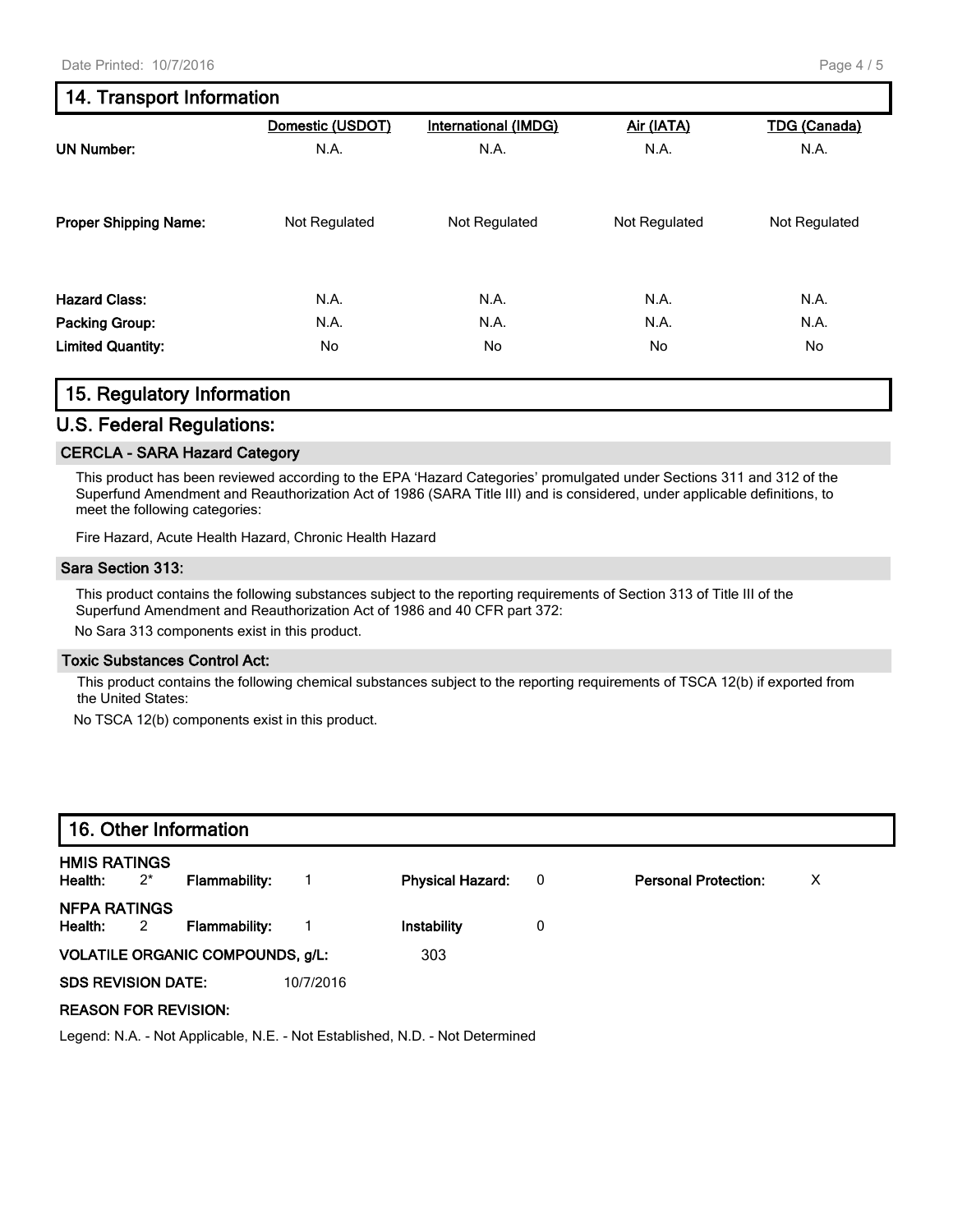# **14. Transport Information**

|                              | Domestic (USDOT) | <b>International (IMDG)</b> | Air (IATA)    | <b>TDG (Canada)</b> |
|------------------------------|------------------|-----------------------------|---------------|---------------------|
| <b>UN Number:</b>            | N.A.             | N.A.                        | N.A.          | N.A.                |
| <b>Proper Shipping Name:</b> | Not Regulated    | Not Regulated               | Not Regulated | Not Regulated       |
| <b>Hazard Class:</b>         | N.A.             | N.A.                        | N.A.          | N.A.                |
| Packing Group:               | N.A.             | N.A.                        | N.A.          | N.A.                |
| <b>Limited Quantity:</b>     | No               | No                          | No            | No                  |

### **15. Regulatory Information**

### **U.S. Federal Regulations:**

#### **CERCLA - SARA Hazard Category**

This product has been reviewed according to the EPA 'Hazard Categories' promulgated under Sections 311 and 312 of the Superfund Amendment and Reauthorization Act of 1986 (SARA Title III) and is considered, under applicable definitions, to meet the following categories:

Fire Hazard, Acute Health Hazard, Chronic Health Hazard

#### **Sara Section 313:**

This product contains the following substances subject to the reporting requirements of Section 313 of Title III of the Superfund Amendment and Reauthorization Act of 1986 and 40 CFR part 372:

No Sara 313 components exist in this product.

#### **Toxic Substances Control Act:**

This product contains the following chemical substances subject to the reporting requirements of TSCA 12(b) if exported from the United States:

No TSCA 12(b) components exist in this product.

| 16. Other Information                                                        |       |                                  |           |                         |                          |                             |   |  |
|------------------------------------------------------------------------------|-------|----------------------------------|-----------|-------------------------|--------------------------|-----------------------------|---|--|
| <b>HMIS RATINGS</b><br>Health:                                               | $2^*$ | Flammability:                    |           | <b>Physical Hazard:</b> | $\overline{\phantom{0}}$ | <b>Personal Protection:</b> | X |  |
| NFPA RATINGS<br>Health:                                                      | 2     | <b>Flammability:</b>             |           | Instability             | 0                        |                             |   |  |
|                                                                              |       | VOLATILE ORGANIC COMPOUNDS, g/L: |           | 303                     |                          |                             |   |  |
| <b>SDS REVISION DATE:</b>                                                    |       |                                  | 10/7/2016 |                         |                          |                             |   |  |
| <b>REASON FOR REVISION:</b>                                                  |       |                                  |           |                         |                          |                             |   |  |
| Legend: N.A. - Not Applicable, N.E. - Not Established, N.D. - Not Determined |       |                                  |           |                         |                          |                             |   |  |